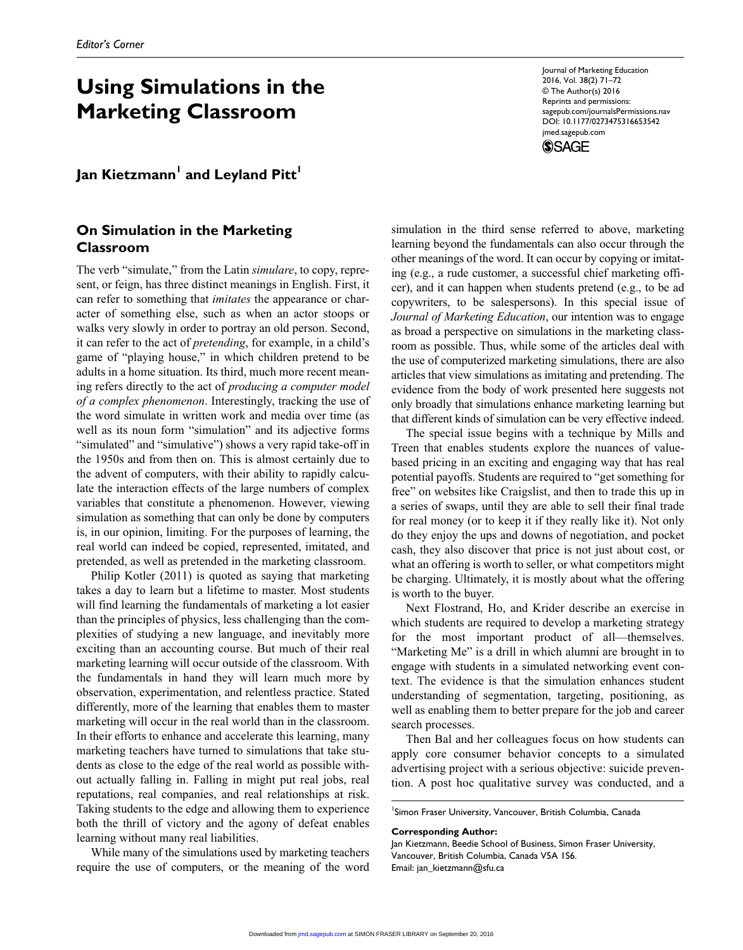## **Using Simulations in the Marketing Classroom**



## Jan Kietzmann<sup>I</sup> and Leyland Pitt<sup>I</sup>

## **On Simulation in the Marketing Classroom**

The verb "simulate," from the Latin *simulare*, to copy, represent, or feign, has three distinct meanings in English. First, it can refer to something that *imitates* the appearance or character of something else, such as when an actor stoops or walks very slowly in order to portray an old person. Second, it can refer to the act of *pretending*, for example, in a child's game of "playing house," in which children pretend to be adults in a home situation. Its third, much more recent meaning refers directly to the act of *producing a computer model of a complex phenomenon*. Interestingly, tracking the use of the word simulate in written work and media over time (as well as its noun form "simulation" and its adjective forms "simulated" and "simulative") shows a very rapid take-off in the 1950s and from then on. This is almost certainly due to the advent of computers, with their ability to rapidly calculate the interaction effects of the large numbers of complex variables that constitute a phenomenon. However, viewing simulation as something that can only be done by computers is, in our opinion, limiting. For the purposes of learning, the real world can indeed be copied, represented, imitated, and pretended, as well as pretended in the marketing classroom.

Philip Kotler (2011) is quoted as saying that marketing takes a day to learn but a lifetime to master. Most students will find learning the fundamentals of marketing a lot easier than the principles of physics, less challenging than the complexities of studying a new language, and inevitably more exciting than an accounting course. But much of their real marketing learning will occur outside of the classroom. With the fundamentals in hand they will learn much more by observation, experimentation, and relentless practice. Stated differently, more of the learning that enables them to master marketing will occur in the real world than in the classroom. In their efforts to enhance and accelerate this learning, many marketing teachers have turned to simulations that take students as close to the edge of the real world as possible without actually falling in. Falling in might put real jobs, real reputations, real companies, and real relationships at risk. Taking students to the edge and allowing them to experience both the thrill of victory and the agony of defeat enables learning without many real liabilities.

While many of the simulations used by marketing teachers require the use of computers, or the meaning of the word simulation in the third sense referred to above, marketing learning beyond the fundamentals can also occur through the other meanings of the word. It can occur by copying or imitating (e.g., a rude customer, a successful chief marketing officer), and it can happen when students pretend (e.g., to be ad copywriters, to be salespersons). In this special issue of *Journal of Marketing Education*, our intention was to engage as broad a perspective on simulations in the marketing classroom as possible. Thus, while some of the articles deal with the use of computerized marketing simulations, there are also articles that view simulations as imitating and pretending. The evidence from the body of work presented here suggests not only broadly that simulations enhance marketing learning but that different kinds of simulation can be very effective indeed.

The special issue begins with a technique by Mills and Treen that enables students explore the nuances of valuebased pricing in an exciting and engaging way that has real potential payoffs. Students are required to "get something for free" on websites like Craigslist, and then to trade this up in a series of swaps, until they are able to sell their final trade for real money (or to keep it if they really like it). Not only do they enjoy the ups and downs of negotiation, and pocket cash, they also discover that price is not just about cost, or what an offering is worth to seller, or what competitors might be charging. Ultimately, it is mostly about what the offering is worth to the buyer.

Next Flostrand, Ho, and Krider describe an exercise in which students are required to develop a marketing strategy for the most important product of all—themselves. "Marketing Me" is a drill in which alumni are brought in to engage with students in a simulated networking event context. The evidence is that the simulation enhances student understanding of segmentation, targeting, positioning, as well as enabling them to better prepare for the job and career search processes.

Then Bal and her colleagues focus on how students can apply core consumer behavior concepts to a simulated advertising project with a serious objective: suicide prevention. A post hoc qualitative survey was conducted, and a

<sup>1</sup>Simon Fraser University, Vancouver, British Columbia, Canada

**Corresponding Author:**

Jan Kietzmann, Beedie School of Business, Simon Fraser University, Vancouver, British Columbia, Canada V5A 1S6. Email: [jan\\_kietzmann@sfu.ca](mailto:jan_kietzmann@sfu.ca)